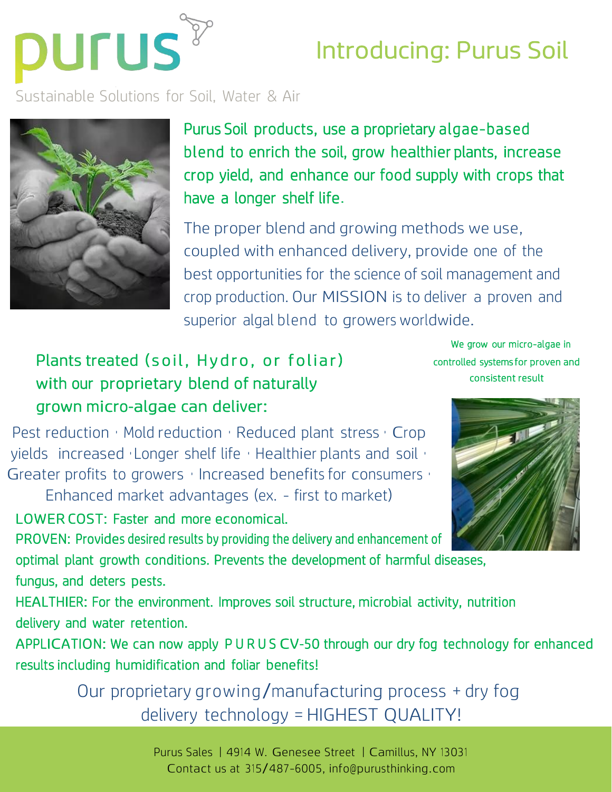

## Introducing: Purus Soil

Sustainable Solutions for Soil, Water & Air



Purus Soil products, use a proprietary algae-based blend to enrich the soil, grow healthier plants, increase crop yield, and enhance our food supply with crops that have a longer shelf life.

The proper blend and growing methods we use, coupled with enhanced delivery, provide one of the best opportunities for the science of soil management and crop production. Our MISSION is to deliver a proven and superior algal blend to growers worldwide.

## Plants treated (soil, Hydro, or foliar) with our proprietary blend of naturally grown micro-algae can deliver:

We grow our micro-algae in controlled systems for proven and consistent result

Pest reduction • Mold reduction • Reduced plant stress • Crop yields increased • Longer shelf life • Healthier plants and soil • Greater profits to growers • Increased benefits for consumers • Enhanced market advantages (ex. - first to market)

LOWER COST: Faster and more economical.

PROVEN: Provides desired results by providing the delivery and enhancement of optimal plant growth conditions. Prevents the development of harmful diseases, fungus, and deters pests.

HEALTHIER: For the environment. Improves soil structure, microbial activity, nutrition delivery and water retention.

APPLICATION: We can now apply P U R U S CV-50 through our dry fog technology for enhanced results including humidification and foliar benefits!

> Our proprietary growing/manufacturing process <sup>+</sup> dry fog delivery technology = HIGHEST QUALITY!

> > Purus Sales | 4914 W. Genesee Street | Camillus, NY 13031 Contact us at 315/487-6005, [info@purusthinking.com](mailto:info@purusthinking.com)